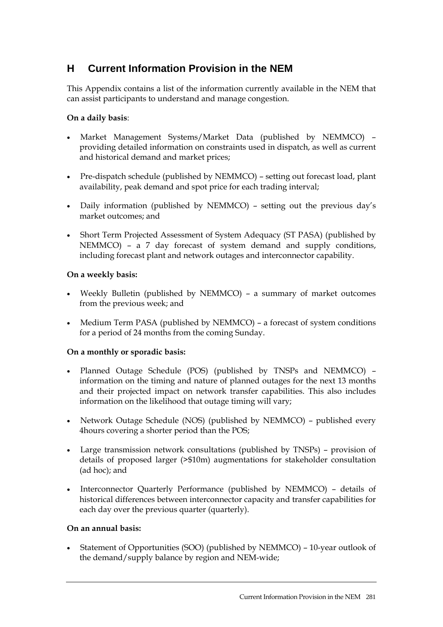# **H Current Information Provision in the NEM**

This Appendix contains a list of the information currently available in the NEM that can assist participants to understand and manage congestion.

## **On a daily basis**:

- Market Management Systems/Market Data (published by NEMMCO) providing detailed information on constraints used in dispatch, as well as current and historical demand and market prices;
- Pre-dispatch schedule (published by NEMMCO) setting out forecast load, plant availability, peak demand and spot price for each trading interval;
- Daily information (published by NEMMCO) setting out the previous day's market outcomes; and
- Short Term Projected Assessment of System Adequacy (ST PASA) (published by NEMMCO) – a 7 day forecast of system demand and supply conditions, including forecast plant and network outages and interconnector capability.

## **On a weekly basis:**

- Weekly Bulletin (published by NEMMCO) a summary of market outcomes from the previous week; and
- Medium Term PASA (published by NEMMCO) a forecast of system conditions for a period of 24 months from the coming Sunday.

### **On a monthly or sporadic basis:**

- Planned Outage Schedule (POS) (published by TNSPs and NEMMCO) information on the timing and nature of planned outages for the next 13 months and their projected impact on network transfer capabilities. This also includes information on the likelihood that outage timing will vary;
- Network Outage Schedule (NOS) (published by NEMMCO) published every 4hours covering a shorter period than the POS;
- Large transmission network consultations (published by TNSPs) provision of details of proposed larger (>\$10m) augmentations for stakeholder consultation (ad hoc); and
- Interconnector Quarterly Performance (published by NEMMCO) details of historical differences between interconnector capacity and transfer capabilities for each day over the previous quarter (quarterly).

### **On an annual basis:**

• Statement of Opportunities (SOO) (published by NEMMCO) – 10-year outlook of the demand/supply balance by region and NEM-wide;